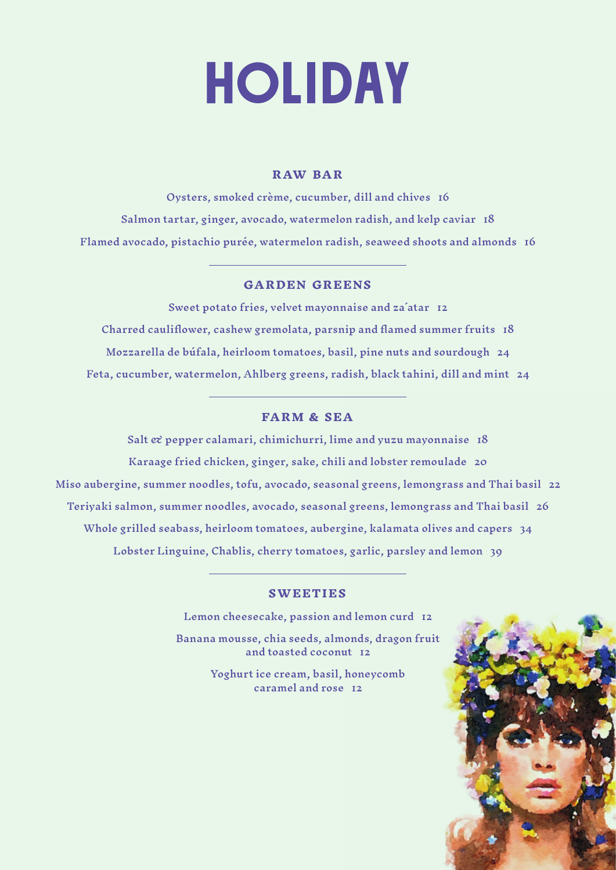# **HOLIDAY**

# **R AW BAR**

Oysters, smoked crème, cucumber, dill and chives 16 Salmon tartar, ginger, avocado, watermelon radish, and kelp caviar 18 Flamed avocado, pistachio purée, watermelon radish, seaweed shoots and almonds 16

### **GARDEN GREENS**

Sweet potato fries, velvet mayonnaise and za´atar 12 Charred cauliflower, cashew gremolata, parsnip and flamed summer fruits 18 Mozzarella de búfala, heirloom tomatoes, basil, pine nuts and sourdough 24 Feta, cucumber, watermelon, Ahlberg greens, radish, black tahini, dill and mint 24

### **FARM & SEA**

Salt  $\alpha$  pepper calamari, chimichurri, lime and yuzu mayonnaise  $18$ Karaage fried chicken, ginger, sake, chili and lobster remoulade 20 Miso aubergine, summer noodles, tofu, avocado, seasonal greens, lemongrass and Thai basil 22 Teriyaki salmon, summer noodles, avocado, seasonal greens, lemongrass and Thai basil 26 Whole grilled seabass, heirloom tomatoes, aubergine, kalamata olives and capers 34 Lobster Linguine, Chablis, cherry tomatoes, garlic, parsley and lemon 39

#### **SWEETIES**

Lemon cheesecake, passion and lemon curd 12

Banana mousse, chia seeds, almonds, dragon fruit and toasted coconut 12

> Yoghurt ice cream, basil, honeycomb caramel and rose 12